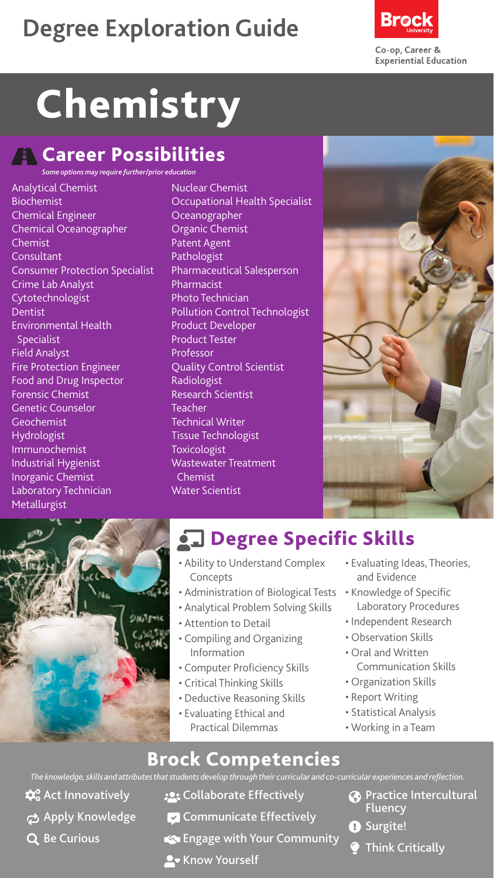## **Degree Exploration Guide**



# Chemistry

#### **A** Career Possibilities

*Some options may require further/prior education*

- Analytical Chemist Biochemist Chemical Engineer Chemical Oceanographer Chemist **Consultant** Consumer Protection Specialist Crime Lab Analyst Cytotechnologist Dentist Environmental Health Specialist Field Analyst Fire Protection Engineer Food and Drug Inspector Forensic Chemist Genetic Counselor Geochemist Hydrologist Immunochemist Industrial Hygienist Inorganic Chemist Laboratory Technician Metallurgist
- Nuclear Chemist Occupational Health Specialist Oceanographer Organic Chemist Patent Agent Pathologist Pharmaceutical Salesperson Pharmacist Photo Technician Pollution Control Technologist Product Developer Product Tester Professor Quality Control Scientist **Radiologist** Research Scientist **Teacher** Technical Writer Tissue Technologist **Toxicologist** Wastewater Treatment Chemist Water Scientist





## **chalace Specific Skills**

- Ability to Understand Complex Concepts
- Administration of Biological Tests
- Analytical Problem Solving Skills
- Attention to Detail
- Compiling and Organizing Information
- Computer Proficiency Skills
- Critical Thinking Skills
- Deductive Reasoning Skills
- Evaluating Ethical and Practical Dilemmas
- Evaluating Ideas, Theories, and Evidence
- Knowledge of Specific Laboratory Procedures
- Independent Research
- Observation Skills
- Oral and Written Communication Skills
- Organization Skills
- Report Writing
- Statistical Analysis
- Working in a Team

#### Brock Competencies

*The knowledge, skills and attributes that students develop through their curricular and co-curricular experiences and reflection.*

- $\mathbf{\hat{\alpha}}^{\circ}_{\mathbf{o}}$  Act Innovatively Apply Knowledge
- Q Be Curious
- **:** Collaborate Effectively
- $\triangledown$  Communicate Effectively
- Engage with Your Community
- **A** Know Yourself
- **Co** Practice Intercultural Fluency
- **O** Surgite!
	- Think Critically